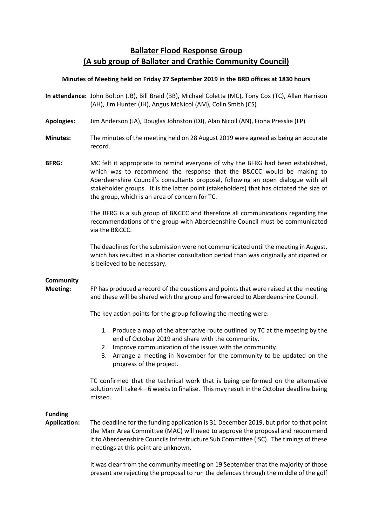# **Ballater Flood Response Group (A sub group of Ballater and Crathie Community Council)**

## **Minutes of Meeting held on Friday 27 September 2019 in the BRD offices at 1830 hours**

- **In attendance:** John Bolton (JB), Bill Braid (BB), Michael Coletta (MC), Tony Cox (TC), Allan Harrison (AH), Jim Hunter (JH), Angus McNicol (AM), Colin Smith (CS)
- **Apologies:** Jim Anderson (JA), Douglas Johnston (DJ), Alan Nicoll (AN), Fiona Presslie (FP)
- **Minutes:** The minutes of the meeting held on 28 August 2019 were agreed as being an accurate record.
- **BFRG:** MC felt it appropriate to remind everyone of why the BFRG had been established, which was to recommend the response that the B&CCC would be making to Aberdeenshire Council's consultants proposal, following an open dialogue with all stakeholder groups. It is the latter point (stakeholders) that has dictated the size of the group, which is an area of concern for TC.

The BFRG is a sub group of B&CCC and therefore all communications regarding the recommendations of the group with Aberdeenshire Council must be communicated via the B&CCC.

The deadlines for the submission were not communicated until the meeting in August, which has resulted in a shorter consultation period than was originally anticipated or is believed to be necessary.

# **Community**

**Meeting:** FP has produced a record of the questions and points that were raised at the meeting and these will be shared with the group and forwarded to Aberdeenshire Council.

The key action points for the group following the meeting were:

- 1. Produce a map of the alternative route outlined by TC at the meeting by the end of October 2019 and share with the community.
- 2. Improve communication of the issues with the community.
- 3. Arrange a meeting in November for the community to be updated on the progress of the project.

TC confirmed that the technical work that is being performed on the alternative solution will take  $4 - 6$  weeks to finalise. This may result in the October deadline being missed.

# **Funding**

**Application:** The deadline for the funding application is 31 December 2019, but prior to that point the Marr Area Committee (MAC) will need to approve the proposal and recommend it to Aberdeenshire Councils Infrastructure Sub Committee (ISC). The timings of these meetings at this point are unknown.

> It was clear from the community meeting on 19 September that the majority of those present are rejecting the proposal to run the defences through the middle of the golf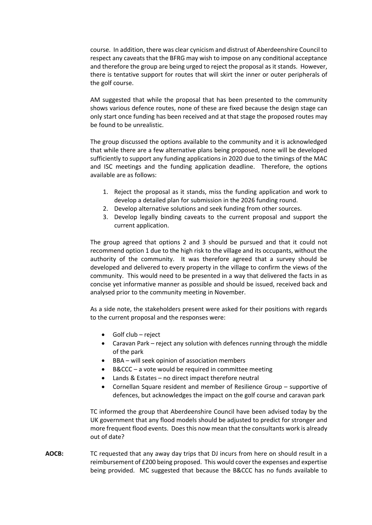course. In addition, there was clear cynicism and distrust of Aberdeenshire Council to respect any caveats that the BFRG may wish to impose on any conditional acceptance and therefore the group are being urged to reject the proposal as it stands. However, there is tentative support for routes that will skirt the inner or outer peripherals of the golf course.

AM suggested that while the proposal that has been presented to the community shows various defence routes, none of these are fixed because the design stage can only start once funding has been received and at that stage the proposed routes may be found to be unrealistic.

The group discussed the options available to the community and it is acknowledged that while there are a few alternative plans being proposed, none will be developed sufficiently to support any funding applications in 2020 due to the timings of the MAC and ISC meetings and the funding application deadline. Therefore, the options available are as follows:

- 1. Reject the proposal as it stands, miss the funding application and work to develop a detailed plan for submission in the 2026 funding round.
- 2. Develop alternative solutions and seek funding from other sources.
- 3. Develop legally binding caveats to the current proposal and support the current application.

The group agreed that options 2 and 3 should be pursued and that it could not recommend option 1 due to the high risk to the village and its occupants, without the authority of the community. It was therefore agreed that a survey should be developed and delivered to every property in the village to confirm the views of the community. This would need to be presented in a way that delivered the facts in as concise yet informative manner as possible and should be issued, received back and analysed prior to the community meeting in November.

As a side note, the stakeholders present were asked for their positions with regards to the current proposal and the responses were:

- Golf club reject
- Caravan Park reject any solution with defences running through the middle of the park
- BBA will seek opinion of association members
- B&CCC a vote would be required in committee meeting
- Lands & Estates no direct impact therefore neutral
- Cornellan Square resident and member of Resilience Group supportive of defences, but acknowledges the impact on the golf course and caravan park

TC informed the group that Aberdeenshire Council have been advised today by the UK government that any flood models should be adjusted to predict for stronger and more frequent flood events. Does this now mean that the consultants work is already out of date?

**AOCB:** TC requested that any away day trips that DJ incurs from here on should result in a reimbursement of £200 being proposed. This would cover the expenses and expertise being provided. MC suggested that because the B&CCC has no funds available to